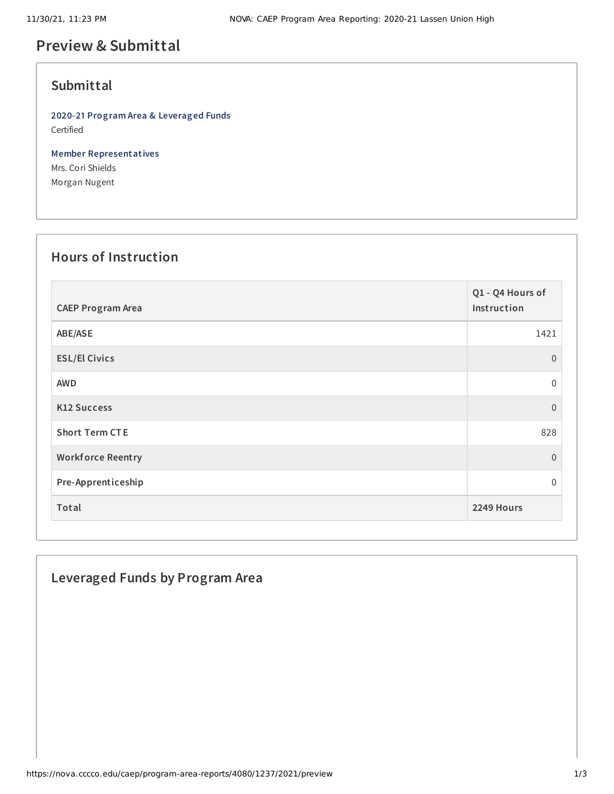## **Preview & Submittal**

### **Submittal**

**2020-21 Program Area & Leveraged Funds** Certified

**Member Representatives** Mrs. Cori Shields Morgan Nugent

#### **Hours of Instruction**

| <b>CAEP Program Area</b> | Q1 - Q4 Hours of<br>Instruction |
|--------------------------|---------------------------------|
| ABE/ASE                  | 1421                            |
| <b>ESL/El Civics</b>     | $\Omega$                        |
| <b>AWD</b>               | $\boldsymbol{0}$                |
| <b>K12 Success</b>       | $\overline{0}$                  |
| <b>Short Term CTE</b>    | 828                             |
| <b>Workforce Reentry</b> | $\boldsymbol{0}$                |
| Pre-Apprenticeship       | $\Omega$                        |
| Total                    | 2249 Hours                      |

### **Leveraged Funds by Program Area**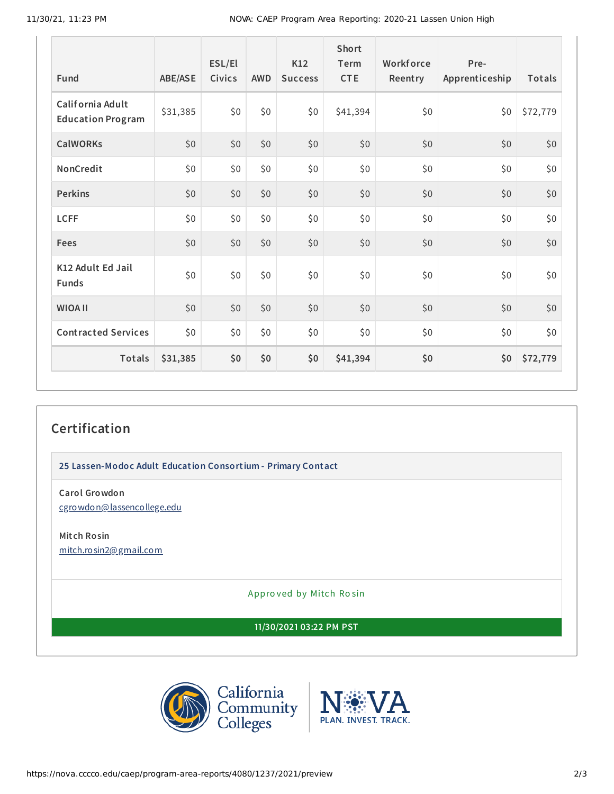11/30/21, 11:23 PM NOVA: CAEP Program Area Reporting: 2020-21 Lassen Union High

| Fund                                         | ABE/ASE  | ESL/El<br>Civics | <b>AWD</b> | K12<br><b>Success</b> | <b>Short</b><br>Term<br><b>CTE</b> | Workforce<br>Reentry | Pre-<br>Apprenticeship | Totals   |
|----------------------------------------------|----------|------------------|------------|-----------------------|------------------------------------|----------------------|------------------------|----------|
| California Adult<br><b>Education Program</b> | \$31,385 | \$0              | \$0\$      | \$0                   | \$41,394                           | \$0                  | \$0                    | \$72,779 |
| <b>CalWORKs</b>                              | \$0      | \$0              | \$0        | \$0                   | \$0                                | \$0                  | \$0                    | \$0      |
| NonCredit                                    | \$0      | \$0              | \$0        | \$0                   | \$0                                | \$0                  | \$0                    | \$0      |
| <b>Perkins</b>                               | \$0      | \$0              | \$0        | \$0                   | \$0                                | \$0                  | \$0                    | \$0      |
| <b>LCFF</b>                                  | \$0      | \$0              | \$0\$      | \$0                   | \$0                                | \$0                  | \$0                    | \$0      |
| Fees                                         | \$0      | \$0              | \$0        | \$0                   | \$0                                | \$0                  | \$0                    | \$0      |
| K12 Adult Ed Jail<br><b>Funds</b>            | \$0      | \$0              | \$0        | \$0                   | \$0                                | \$0                  | \$0                    | \$0      |
| <b>WIOA II</b>                               | \$0      | \$0              | \$0        | \$0                   | \$0                                | \$0                  | \$0                    | \$0      |
| <b>Contracted Services</b>                   | \$0      | \$0              | \$0        | \$0                   | \$0                                | \$0                  | \$0                    | \$0      |
| Totals                                       | \$31,385 | \$0              | \$0        | \$0                   | \$41,394                           | \$0                  | \$0                    | \$72,779 |

# **Certification**

**25 Lassen-Modoc Adult Education Consortium - Primary Contact**

**Carol Growdon** [cgrowdon@lassencollege.edu](mailto:cgrowdon@lassencollege.edu)

**Mitch Rosin** [mitch.rosin2@gmail.com](mailto:mitch.rosin2@gmail.com)

Appro ved by Mitch Ro sin

**11/30/2021 03:22 PM PST**